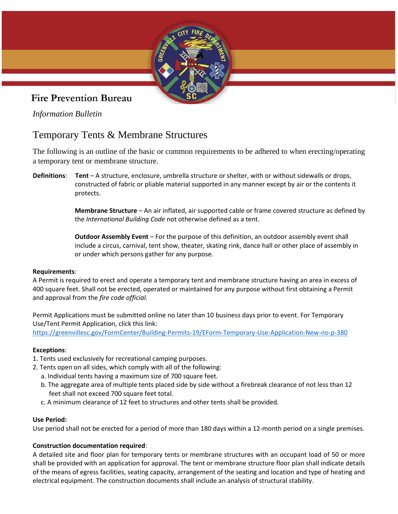

## **Fire Prevention Bureau**

*Information Bulletin*

# Temporary Tents & Membrane Structures

The following is an outline of the basic or common requirements to be adhered to when erecting/operating a temporary tent or membrane structure.

**Definitions**: **Tent** – A structure, enclosure, umbrella structure or shelter, with or without sidewalls or drops, constructed of fabric or pliable material supported in any manner except by air or the contents it protects.

> **Membrane Structure** – An air inflated, air supported cable or frame covered structure as defined by the *International Building Code* not otherwise defined as a tent.

 **Outdoor Assembly Event** – For the purpose of this definition, an outdoor assembly event shall include a circus, carnival, tent show, theater, skating rink, dance hall or other place of assembly in or under which persons gather for any purpose.

### **Requirements**:

A Permit is required to erect and operate a temporary tent and membrane structure having an area in excess of 400 square feet. Shall not be erected, operated or maintained for any purpose without first obtaining a Permit and approval from the *fire code official*.

Permit Applications must be submitted online no later than 10 business days prior to event. For Temporary Use/Tent Permit Application, click this link: <https://greenvillesc.gov/FormCenter/Building-Permits-19/EForm-Temporary-Use-Application-New-no-p-380>

## **Exceptions**:

- 1. Tents used exclusively for recreational camping purposes.
- 2. Tents open on all sides, which comply with all of the following:
	- a. Individual tents having a maximum size of 700 square feet.
	- b. The aggregate area of multiple tents placed side by side without a firebreak clearance of not less than 12 feet shall not exceed 700 square feet total.
	- c. A minimum clearance of 12 feet to structures and other tents shall be provided.

### **Use Period:**

Use period shall not be erected for a period of more than 180 days within a 12-month period on a single premises.

## **Construction documentation required**:

A detailed site and floor plan for temporary tents or membrane structures with an occupant load of 50 or more shall be provided with an application for approval. The tent or membrane structure floor plan shall indicate details of the means of egress facilities, seating capacity, arrangement of the seating and location and type of heating and electrical equipment. The construction documents shall include an analysis of structural stability.